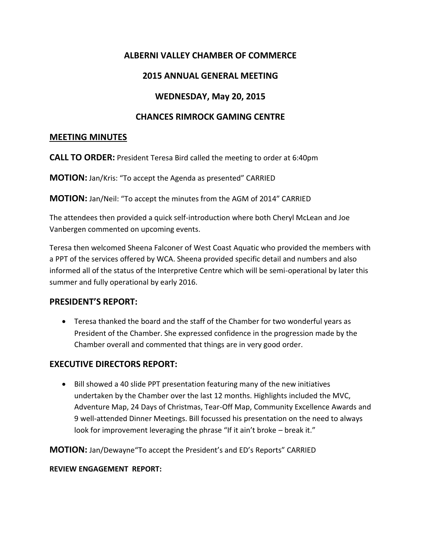# **ALBERNI VALLEY CHAMBER OF COMMERCE**

## **2015 ANNUAL GENERAL MEETING**

# **WEDNESDAY, May 20, 2015**

## **CHANCES RIMROCK GAMING CENTRE**

#### **MEETING MINUTES**

**CALL TO ORDER:** President Teresa Bird called the meeting to order at 6:40pm

**MOTION:** Jan/Kris: "To accept the Agenda as presented" CARRIED

**MOTION:** Jan/Neil: "To accept the minutes from the AGM of 2014" CARRIED

The attendees then provided a quick self-introduction where both Cheryl McLean and Joe Vanbergen commented on upcoming events.

Teresa then welcomed Sheena Falconer of West Coast Aquatic who provided the members with a PPT of the services offered by WCA. Sheena provided specific detail and numbers and also informed all of the status of the Interpretive Centre which will be semi-operational by later this summer and fully operational by early 2016.

## **PRESIDENT'S REPORT:**

 Teresa thanked the board and the staff of the Chamber for two wonderful years as President of the Chamber. She expressed confidence in the progression made by the Chamber overall and commented that things are in very good order.

## **EXECUTIVE DIRECTORS REPORT:**

• Bill showed a 40 slide PPT presentation featuring many of the new initiatives undertaken by the Chamber over the last 12 months. Highlights included the MVC, Adventure Map, 24 Days of Christmas, Tear-Off Map, Community Excellence Awards and 9 well-attended Dinner Meetings. Bill focussed his presentation on the need to always look for improvement leveraging the phrase "If it ain't broke – break it."

**MOTION:** Jan/Dewayne"To accept the President's and ED's Reports" CARRIED

#### **REVIEW ENGAGEMENT REPORT:**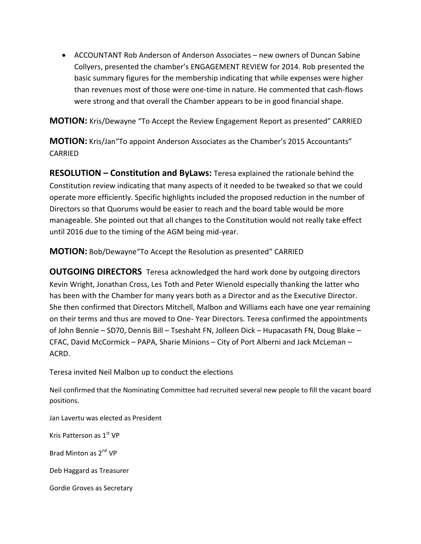ACCOUNTANT Rob Anderson of Anderson Associates – new owners of Duncan Sabine Collyers, presented the chamber's ENGAGEMENT REVIEW for 2014. Rob presented the basic summary figures for the membership indicating that while expenses were higher than revenues most of those were one-time in nature. He commented that cash-flows were strong and that overall the Chamber appears to be in good financial shape.

**MOTION:** Kris/Dewayne "To Accept the Review Engagement Report as presented" CARRIED

**MOTION:** Kris/Jan"To appoint Anderson Associates as the Chamber's 2015 Accountants" CARRIED

**RESOLUTION – Constitution and ByLaws:** Teresa explained the rationale behind the Constitution review indicating that many aspects of it needed to be tweaked so that we could operate more efficiently. Specific highlights included the proposed reduction in the number of Directors so that Quorums would be easier to reach and the board table would be more manageable. She pointed out that all changes to the Constitution would not really take effect until 2016 due to the timing of the AGM being mid-year.

**MOTION:** Bob/Dewayne"To Accept the Resolution as presented" CARRIED

**OUTGOING DIRECTORS** Teresa acknowledged the hard work done by outgoing directors Kevin Wright, Jonathan Cross, Les Toth and Peter Wienold especially thanking the latter who has been with the Chamber for many years both as a Director and as the Executive Director. She then confirmed that Directors Mitchell, Malbon and Williams each have one year remaining on their terms and thus are moved to One- Year Directors. Teresa confirmed the appointments of John Bennie – SD70, Dennis Bill – Tseshaht FN, Jolleen Dick – Hupacasath FN, Doug Blake – CFAC, David McCormick – PAPA, Sharie Minions – City of Port Alberni and Jack McLeman – ACRD.

Teresa invited Neil Malbon up to conduct the elections

Neil confirmed that the Nominating Committee had recruited several new people to fill the vacant board positions.

Jan Lavertu was elected as President

Kris Patterson as 1st VP

Brad Minton as 2nd VP

Deb Haggard as Treasurer

Gordie Groves as Secretary